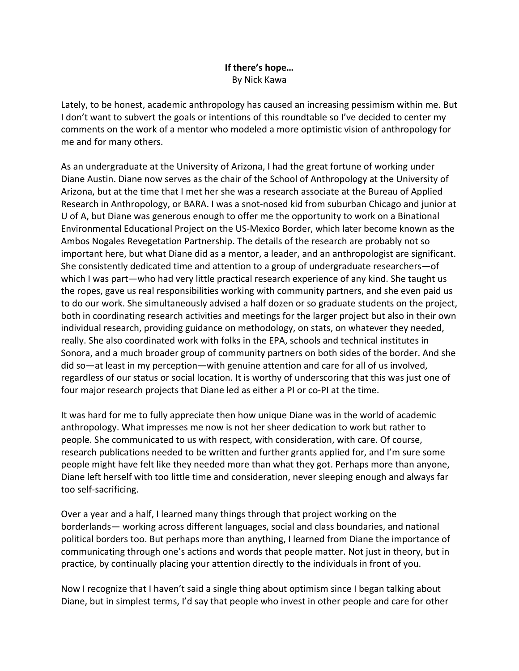## **If there's hope…** By Nick Kawa

Lately, to be honest, academic anthropology has caused an increasing pessimism within me. But I don't want to subvert the goals or intentions of this roundtable so I've decided to center my comments on the work of a mentor who modeled a more optimistic vision of anthropology for me and for many others.

As an undergraduate at the University of Arizona, I had the great fortune of working under Diane Austin. Diane now serves as the chair of the School of Anthropology at the University of Arizona, but at the time that I met her she was a research associate at the Bureau of Applied Research in Anthropology, or BARA. I was a snot-nosed kid from suburban Chicago and junior at U of A, but Diane was generous enough to offer me the opportunity to work on a Binational Environmental Educational Project on the US-Mexico Border, which later become known as the Ambos Nogales Revegetation Partnership. The details of the research are probably not so important here, but what Diane did as a mentor, a leader, and an anthropologist are significant. She consistently dedicated time and attention to a group of undergraduate researchers—of which I was part—who had very little practical research experience of any kind. She taught us the ropes, gave us real responsibilities working with community partners, and she even paid us to do our work. She simultaneously advised a half dozen or so graduate students on the project, both in coordinating research activities and meetings for the larger project but also in their own individual research, providing guidance on methodology, on stats, on whatever they needed, really. She also coordinated work with folks in the EPA, schools and technical institutes in Sonora, and a much broader group of community partners on both sides of the border. And she did so—at least in my perception—with genuine attention and care for all of us involved, regardless of our status or social location. It is worthy of underscoring that this was just one of four major research projects that Diane led as either a PI or co-PI at the time.

It was hard for me to fully appreciate then how unique Diane was in the world of academic anthropology. What impresses me now is not her sheer dedication to work but rather to people. She communicated to us with respect, with consideration, with care. Of course, research publications needed to be written and further grants applied for, and I'm sure some people might have felt like they needed more than what they got. Perhaps more than anyone, Diane left herself with too little time and consideration, never sleeping enough and always far too self-sacrificing.

Over a year and a half, I learned many things through that project working on the borderlands— working across different languages, social and class boundaries, and national political borders too. But perhaps more than anything, I learned from Diane the importance of communicating through one's actions and words that people matter. Not just in theory, but in practice, by continually placing your attention directly to the individuals in front of you.

Now I recognize that I haven't said a single thing about optimism since I began talking about Diane, but in simplest terms, I'd say that people who invest in other people and care for other